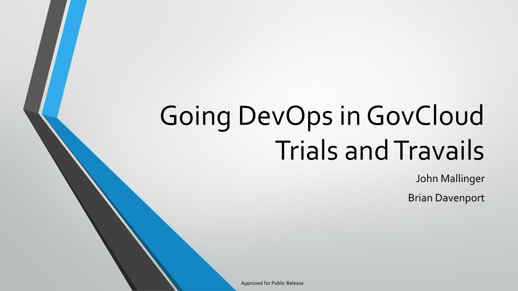# Going DevOps in GovCloud Trials and Travails

John Mallinger

Brian Davenport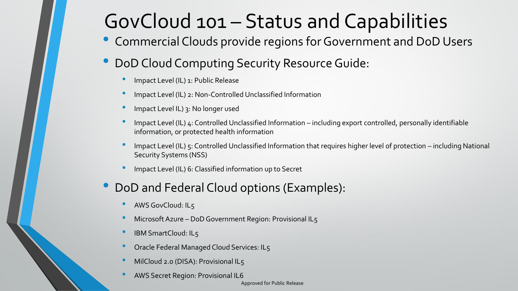# GovCloud 101 – Status and Capabilities

- Commercial Clouds provide regions for Government and DoD Users
- DoD Cloud Computing Security Resource Guide:
	- Impact Level (IL) 1: Public Release
	- Impact Level (IL) 2: Non-Controlled Unclassified Information
	- Impact Level IL) 3: No longer used
	- Impact Level (IL) 4: Controlled Unclassified Information including export controlled, personally identifiable information, or protected health information
	- Impact Level (IL) 5: Controlled Unclassified Information that requires higher level of protection including National Security Systems (NSS)
	- Impact Level (IL) 6: Classified information up to Secret

#### • DoD and Federal Cloud options (Examples):

- AWS GovCloud: IL5
- Microsoft Azure DoD Government Region: Provisional IL5
- IBM SmartCloud: IL5
- Oracle Federal Managed Cloud Services: IL5
- MilCloud 2.0 (DISA): Provisional IL5
- AWS Secret Region: Provisional IL6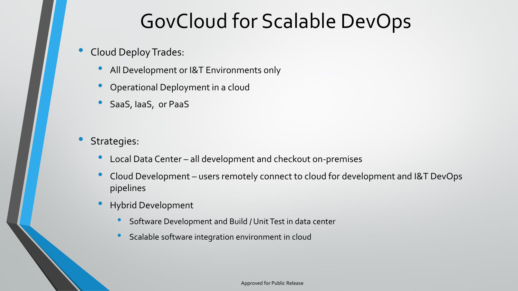# GovCloud for Scalable DevOps

- Cloud Deploy Trades:
	- All Development or I&T Environments only
	- Operational Deployment in a cloud
	- SaaS, IaaS, or PaaS
- Strategies:
	- Local Data Center all development and checkout on-premises
	- Cloud Development users remotely connect to cloud for development and I&T DevOps pipelines
	- Hybrid Development
		- Software Development and Build / Unit Test in data center
		- Scalable software integration environment in cloud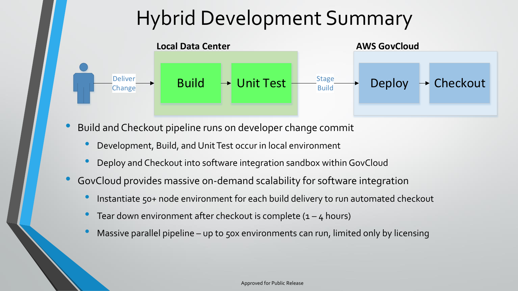# Hybrid Development Summary



- Build and Checkout pipeline runs on developer change commit
	- Development, Build, and Unit Test occur in local environment
	- Deploy and Checkout into software integration sandbox within GovCloud
- GovCloud provides massive on-demand scalability for software integration
	- Instantiate 50+ node environment for each build delivery to run automated checkout
	- Tear down environment after checkout is complete  $(1 4$  hours)
	- Massive parallel pipeline up to 50x environments can run, limited only by licensing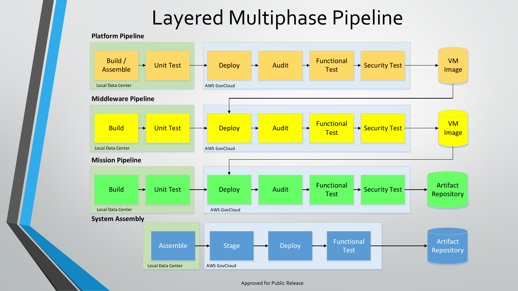# Layered Multiphase Pipeline



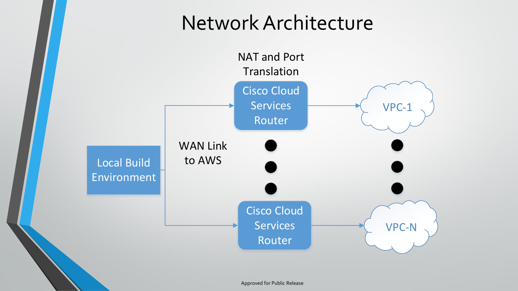### Network Architecture

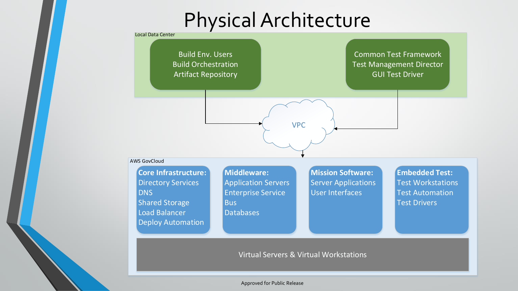# Physical Architecture

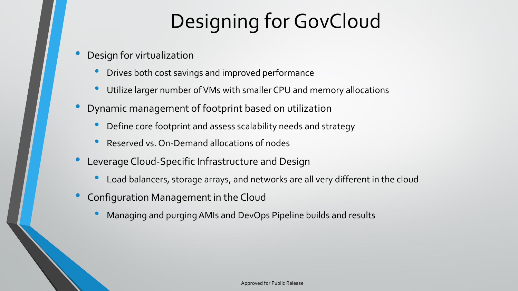# Designing for GovCloud

- Design for virtualization
	- Drives both cost savings and improved performance
	- Utilize larger number of VMs with smaller CPU and memory allocations
- Dynamic management of footprint based on utilization
	- Define core footprint and assess scalability needs and strategy
	- Reserved vs. On-Demand allocations of nodes
- Leverage Cloud-Specific Infrastructure and Design
	- Load balancers, storage arrays, and networks are all very different in the cloud
- Configuration Management in the Cloud
	- Managing and purging AMIs and DevOps Pipeline builds and results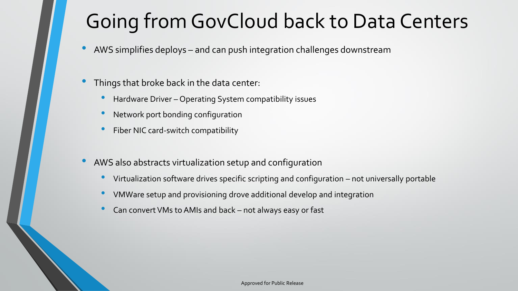# Going from GovCloud back to Data Centers

- AWS simplifies deploys and can push integration challenges downstream
- Things that broke back in the data center:
	- Hardware Driver Operating System compatibility issues
	- Network port bonding configuration
	- Fiber NIC card-switch compatibility
- AWS also abstracts virtualization setup and configuration
	- Virtualization software drives specific scripting and configuration not universally portable
	- VMWare setup and provisioning drove additional develop and integration
	- Can convert VMs to AMIs and back not always easy or fast